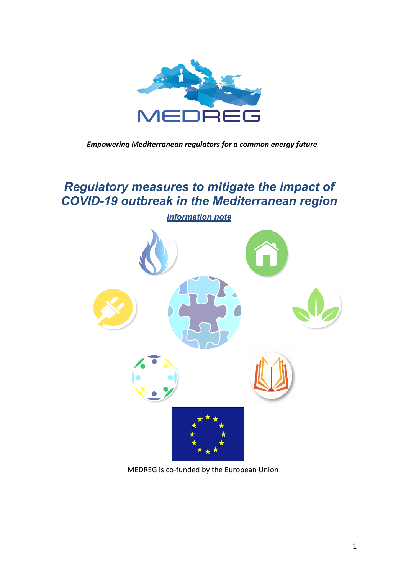

*Empowering Mediterranean regulators for a common energy future.*

# *Regulatory measures to mitigate the impact of COVID-19 outbreak in the Mediterranean region*



MEDREG is co-funded by the European Union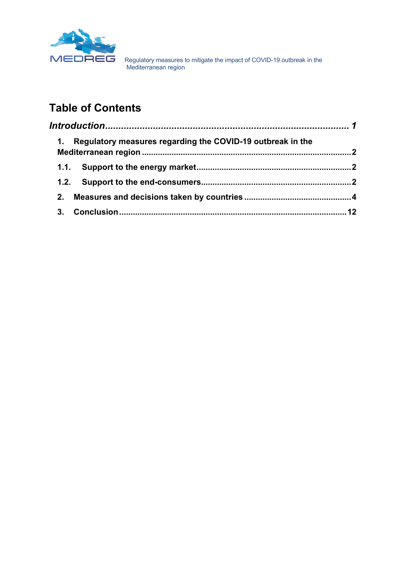

# **Table of Contents**

| 1. | Regulatory measures regarding the COVID-19 outbreak in the |  |
|----|------------------------------------------------------------|--|
|    |                                                            |  |
|    |                                                            |  |
| 2. |                                                            |  |
| 3. |                                                            |  |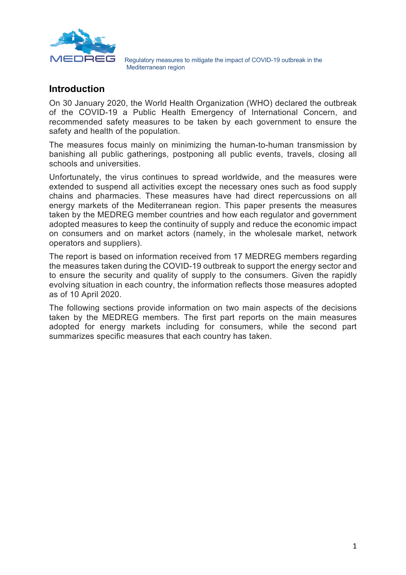

#### **Introduction**

On 30 January 2020, the World Health Organization (WHO) declared the outbreak of the COVID-19 a Public Health Emergency of International Concern, and recommended safety measures to be taken by each government to ensure the safety and health of the population.

The measures focus mainly on minimizing the human-to-human transmission by banishing all public gatherings, postponing all public events, travels, closing all schools and universities.

Unfortunately, the virus continues to spread worldwide, and the measures were extended to suspend all activities except the necessary ones such as food supply chains and pharmacies. These measures have had direct repercussions on all energy markets of the Mediterranean region. This paper presents the measures taken by the MEDREG member countries and how each regulator and government adopted measures to keep the continuity of supply and reduce the economic impact on consumers and on market actors (namely, in the wholesale market, network operators and suppliers).

The report is based on information received from 17 MEDREG members regarding the measures taken during the COVID-19 outbreak to support the energy sector and to ensure the security and quality of supply to the consumers. Given the rapidly evolving situation in each country, the information reflects those measures adopted as of 10 April 2020.

The following sections provide information on two main aspects of the decisions taken by the MEDREG members. The first part reports on the main measures adopted for energy markets including for consumers, while the second part summarizes specific measures that each country has taken.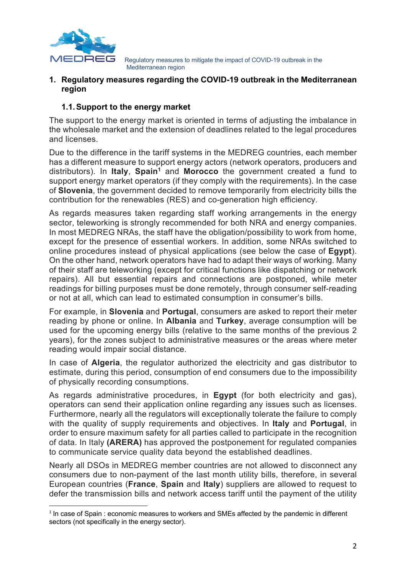

#### **1. Regulatory measures regarding the COVID-19 outbreak in the Mediterranean region**

#### **1.1.Support to the energy market**

The support to the energy market is oriented in terms of adjusting the imbalance in the wholesale market and the extension of deadlines related to the legal procedures and licenses.

Due to the difference in the tariff systems in the MEDREG countries, each member has a different measure to support energy actors (network operators, producers and distributors). In **Italy, Spain<sup>1</sup>** and **Morocco** the government created a fund to support energy market operators (if they comply with the requirements). In the case of **Slovenia**, the government decided to remove temporarily from electricity bills the contribution for the renewables (RES) and co-generation high efficiency.

As regards measures taken regarding staff working arrangements in the energy sector, teleworking is strongly recommended for both NRA and energy companies. In most MEDREG NRAs, the staff have the obligation/possibility to work from home, except for the presence of essential workers. In addition, some NRAs switched to online procedures instead of physical applications (see below the case of **Egypt**). On the other hand, network operators have had to adapt their ways of working. Many of their staff are teleworking (except for critical functions like dispatching or network repairs). All but essential repairs and connections are postponed, while meter readings for billing purposes must be done remotely, through consumer self-reading or not at all, which can lead to estimated consumption in consumer's bills.

For example, in **Slovenia** and **Portugal**, consumers are asked to report their meter reading by phone or online. In **Albania** and **Turkey**, average consumption will be used for the upcoming energy bills (relative to the same months of the previous 2 years), for the zones subject to administrative measures or the areas where meter reading would impair social distance.

In case of **Algeria**, the regulator authorized the electricity and gas distributor to estimate, during this period, consumption of end consumers due to the impossibility of physically recording consumptions.

As regards administrative procedures, in **Egypt** (for both electricity and gas), operators can send their application online regarding any issues such as licenses. Furthermore, nearly all the regulators will exceptionally tolerate the failure to comply with the quality of supply requirements and objectives. In **Italy** and **Portugal**, in order to ensure maximum safety for all parties called to participate in the recognition of data. In Italy **(ARERA)** has approved the postponement for regulated companies to communicate service quality data beyond the established deadlines.

Nearly all DSOs in MEDREG member countries are not allowed to disconnect any consumers due to non-payment of the last month utility bills, therefore, in several European countries (**France**, **Spain** and **Italy**) suppliers are allowed to request to defer the transmission bills and network access tariff until the payment of the utility

 $1$  In case of Spain : economic measures to workers and SMEs affected by the pandemic in different sectors (not specifically in the energy sector).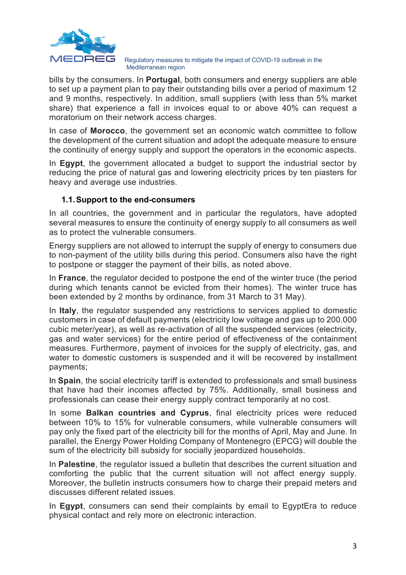

bills by the consumers. In **Portugal**, both consumers and energy suppliers are able to set up a payment plan to pay their outstanding bills over a period of maximum 12 and 9 months, respectively. In addition, small suppliers (with less than 5% market share) that experience a fall in invoices equal to or above 40% can request a moratorium on their network access charges.

In case of **Morocco**, the government set an economic watch committee to follow the development of the current situation and adopt the adequate measure to ensure the continuity of energy supply and support the operators in the economic aspects.

In **Egypt**, the government allocated a budget to support the industrial sector by reducing the price of natural gas and lowering electricity prices by ten piasters for heavy and average use industries.

#### **1.1.Support to the end-consumers**

In all countries, the government and in particular the regulators, have adopted several measures to ensure the continuity of energy supply to all consumers as well as to protect the vulnerable consumers.

Energy suppliers are not allowed to interrupt the supply of energy to consumers due to non-payment of the utility bills during this period. Consumers also have the right to postpone or stagger the payment of their bills, as noted above.

In **France**, the regulator decided to postpone the end of the winter truce (the period during which tenants cannot be evicted from their homes). The winter truce has been extended by 2 months by ordinance, from 31 March to 31 May).

In **Italy**, the regulator suspended any restrictions to services applied to domestic customers in case of default payments (electricity low voltage and gas up to 200.000 cubic meter/year), as well as re-activation of all the suspended services (electricity, gas and water services) for the entire period of effectiveness of the containment measures. Furthermore, payment of invoices for the supply of electricity, gas, and water to domestic customers is suspended and it will be recovered by installment payments;

In **Spain**, the social electricity tariff is extended to professionals and small business that have had their incomes affected by 75%. Additionally, small business and professionals can cease their energy supply contract temporarily at no cost.

In some **Balkan countries and Cyprus**, final electricity prices were reduced between 10% to 15% for vulnerable consumers, while vulnerable consumers will pay only the fixed part of the electricity bill for the months of April, May and June. In parallel, the Energy Power Holding Company of Montenegro (EPCG) will double the sum of the electricity bill subsidy for socially jeopardized households.

In **Palestine**, the regulator issued a bulletin that describes the current situation and comforting the public that the current situation will not affect energy supply. Moreover, the bulletin instructs consumers how to charge their prepaid meters and discusses different related issues.

In **Egypt**, consumers can send their complaints by email to EgyptEra to reduce physical contact and rely more on electronic interaction.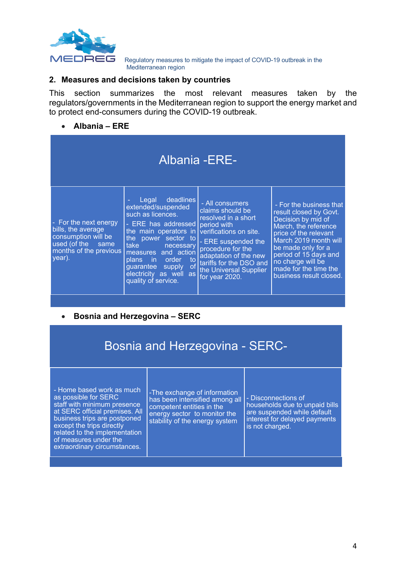

#### **2. Measures and decisions taken by countries**

This section summarizes the most relevant measures taken by the regulators/governments in the Mediterranean region to support the energy market and to protect end-consumers during the COVID-19 outbreak.

#### • **Albania – ERE**

|                                                                                                                             |                                                                                                                                                                                                                                                                             | Albania - ERE-                                                                                                                                                                                                                                  |                                                                                                                                                                                                                                                                           |
|-----------------------------------------------------------------------------------------------------------------------------|-----------------------------------------------------------------------------------------------------------------------------------------------------------------------------------------------------------------------------------------------------------------------------|-------------------------------------------------------------------------------------------------------------------------------------------------------------------------------------------------------------------------------------------------|---------------------------------------------------------------------------------------------------------------------------------------------------------------------------------------------------------------------------------------------------------------------------|
| - For the next energy<br>bills, the average<br>consumption will be<br>used (of the same<br>months of the previous<br>year). | deadlines<br>Legal<br>extended/suspended<br>such as licences.<br>ERE has addressed<br>the main operators in<br>the power sector to<br>take necessary<br>measures and action<br>plans in order to<br>of<br>guarantee supply<br>electricity as well as<br>quality of service. | - All consumers<br>claims should be<br>resolved in a short<br>period with<br>verifications on site.<br>- ERE suspended the<br>procedure for the<br>adaptation of the new<br>tariffs for the DSO and<br>the Universal Supplier<br>for year 2020. | - For the business that<br>result closed by Govt.<br>Decision by mid of<br>March, the reference<br>price of the relevant<br>March 2019 month will<br>be made only for a<br>period of 15 days and<br>no charge will be<br>made for the time the<br>business result closed. |

#### • **Bosnia and Herzegovina – SERC**

## Bosnia and Herzegovina - SERC-

- Home based work as much as possible for SERC staff with minimum presence at SERC official premises. All business trips are postponed except the trips directly related to the implementation of measures under the extraordinary circumstances.

-The exchange of information has been intensified among all competent entities in the energy sector to monitor the stability of the energy system

- Disconnections of households due to unpaid bills are suspended while default interest for delayed payments is not charged.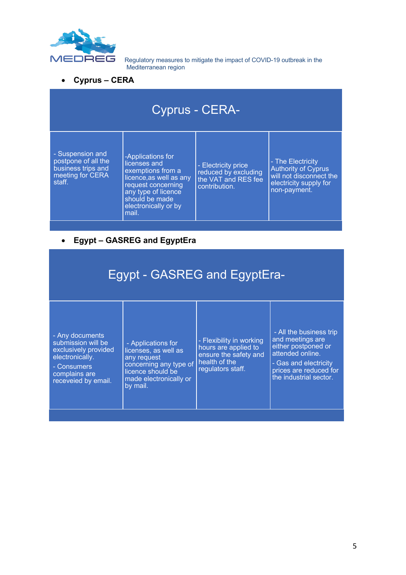

• **Cyprus – CERA**

| Cyprus - CERA- |
|----------------|
|                |

- Suspension and postpone of all the business trips and meeting for CERA staff.

-Applications for licenses and exemptions from a licence,as well as any request concerning any type of licence should be made electronically or by mail.

- Electricity price reduced by excluding the VAT and RES fee contribution.

- The Electricity Authority of Cyprus will not disconnect the electricity supply for non-payment.

#### • **Egypt – GASREG and EgyptEra**

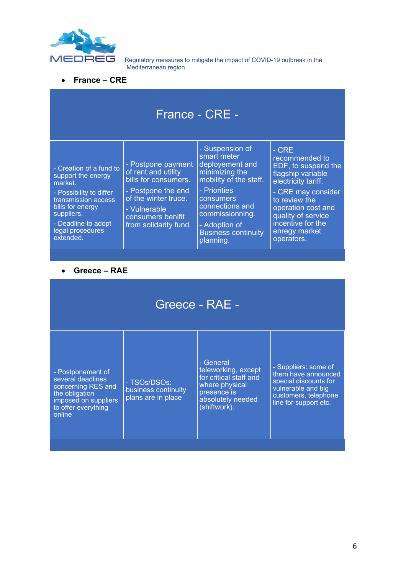

• **France – CRE**

| France - CRE -                                                                                                                                                                                       |                                                                                                                                                                               |                                                                                                                                                                                                                              |                                                                                                                                                                                                                                    |  |
|------------------------------------------------------------------------------------------------------------------------------------------------------------------------------------------------------|-------------------------------------------------------------------------------------------------------------------------------------------------------------------------------|------------------------------------------------------------------------------------------------------------------------------------------------------------------------------------------------------------------------------|------------------------------------------------------------------------------------------------------------------------------------------------------------------------------------------------------------------------------------|--|
| - Creation of a fund to<br>support the energy<br>market.<br>- Possibility to differ<br>transmission access<br>bills for energy<br>suppliers.<br>- Deadline to adopt<br>legal procedures<br>extended. | - Postpone payment<br>of rent and utility<br>bills for consumers.<br>- Postpone the end<br>of the winter truce.<br>- Vulnerable<br>consumers benifit<br>from solidarity fund. | - Suspension of<br>smart meter<br>deployement and<br>minimizing the<br>mobility of the staff.<br>- Priorities<br>consumers<br>connections and<br>commissionning.<br>- Adoption of<br><b>Business continuity</b><br>planning. | $-CRE$<br>recommended to<br>EDF, to suspend the<br>flagship variable<br>electricity tariff.<br>- CRE may consider<br>to review the<br>operation cost and<br>quality of service<br>incentive for the<br>enregy market<br>operators. |  |

#### • **Greece – RAE**

| Greece - RAE -                                                                                                                          |                                                           |                                                                                                                                  |                                                                                                                                             |  |  |
|-----------------------------------------------------------------------------------------------------------------------------------------|-----------------------------------------------------------|----------------------------------------------------------------------------------------------------------------------------------|---------------------------------------------------------------------------------------------------------------------------------------------|--|--|
| - Postponement of<br>several deadlines<br>concerning RES and<br>the obligation<br>imposed on suppliers<br>to offer everything<br>online | - TSOs/DSOs:<br>business continuity<br>plans are in place | - General<br>teleworking, except<br>for critical staff and<br>where physical<br>presence is<br>absolutely needed<br>(shiftwork). | - Suppliers: some of<br>them have announced<br>special discounts for<br>vulnerable and big<br>customers, telephone<br>line for support etc. |  |  |
|                                                                                                                                         |                                                           |                                                                                                                                  |                                                                                                                                             |  |  |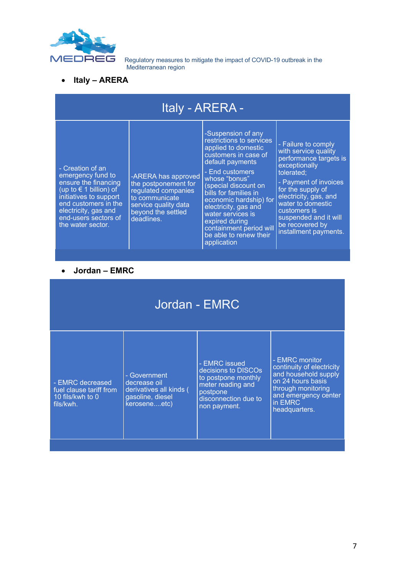

• **Italy – ARERA**

| Italy - ARERA -                                                                                                                                                                                                    |                                                                                                                                                  |                                                                                                                                                                                                                                                                                                                                                                    |                                                                                                                                                                                                                                                                                       |  |  |
|--------------------------------------------------------------------------------------------------------------------------------------------------------------------------------------------------------------------|--------------------------------------------------------------------------------------------------------------------------------------------------|--------------------------------------------------------------------------------------------------------------------------------------------------------------------------------------------------------------------------------------------------------------------------------------------------------------------------------------------------------------------|---------------------------------------------------------------------------------------------------------------------------------------------------------------------------------------------------------------------------------------------------------------------------------------|--|--|
| - Creation of an<br>emergency fund to<br>ensure the financing<br>(up to $\in$ 1 billion) of<br>initiatives to support<br>end customers in the<br>electricity, gas and<br>end-users sectors of<br>the water sector. | -ARERA has approved<br>the postponement for<br>regulated companies<br>to communicate<br>service quality data<br>beyond the settled<br>deadlines. | -Suspension of any<br>restrictions to services<br>applied to domestic<br>customers in case of<br>default payments<br>- End customers<br>whose "bonus"<br>special discount on<br>bills for families in<br>economic hardship) for<br>electricity, gas and<br>water services is<br>expired during<br>containment period will<br>be able to renew their<br>application | - Failure to comply<br>with service quality<br>performance targets is<br>exceptionally<br>tolerated;<br>- Payment of invoices<br>for the supply of<br>electricity, gas, and<br>water to domestic<br>customers is<br>suspended and it will<br>be recovered by<br>installment payments. |  |  |
|                                                                                                                                                                                                                    |                                                                                                                                                  |                                                                                                                                                                                                                                                                                                                                                                    |                                                                                                                                                                                                                                                                                       |  |  |
| Jordan - EMRC                                                                                                                                                                                                      |                                                                                                                                                  |                                                                                                                                                                                                                                                                                                                                                                    |                                                                                                                                                                                                                                                                                       |  |  |
|                                                                                                                                                                                                                    |                                                                                                                                                  |                                                                                                                                                                                                                                                                                                                                                                    |                                                                                                                                                                                                                                                                                       |  |  |

# Jordan - EMRC

- EMRC decreased fuel clause tariff from 10 fils/kwh to 0 fils/kwh.

- Government decrease oil derivatives all kinds ( gasoline, diesel kerosene....etc)

- EMRC issued decisions to DISCOs to postpone monthly meter reading and postpone disconnection due to non payment.

- EMRC monitor continuity of electricity and household supply on 24 hours basis through monitoring and emergency center in EMRC headquarters.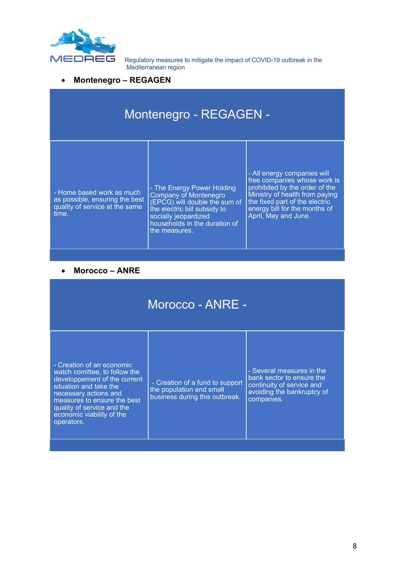

#### • **Montenegro – REGAGEN**

| Montenegro - REGAGEN -                                                                                 |                                                                                                                                                                                                |                                                                                                                                                                                                                            |  |  |
|--------------------------------------------------------------------------------------------------------|------------------------------------------------------------------------------------------------------------------------------------------------------------------------------------------------|----------------------------------------------------------------------------------------------------------------------------------------------------------------------------------------------------------------------------|--|--|
| - Home based work as much<br>as possible, ensuring the best<br>quality of service at the same<br>time. | - The Energy Power Holding<br>Company of Montenegro<br>(EPCG) will double the sum of<br>the electric bill subsidy to<br>socially jeopardized<br>households in the duration of<br>the measures. | - All energy companies will<br>free companies whose work is<br>prohibited by the order of the<br>Ministry of health from paying<br>the fixed part of the electric<br>energy bill for the months of<br>April, May and June. |  |  |

#### • **Morocco – ANRE**

|                                                                                                                                                                                                                                                       | Morocco - ANRE -                                                                              |                                                                                                                                 |  |
|-------------------------------------------------------------------------------------------------------------------------------------------------------------------------------------------------------------------------------------------------------|-----------------------------------------------------------------------------------------------|---------------------------------------------------------------------------------------------------------------------------------|--|
| - Creation of an economic<br>watch comittee, to follow the<br>developpement of the current<br>situation and take the<br>necessary actions and<br>measures to ensure the best<br>quality of service and the<br>economic viability of the<br>operators. | - Creation of a fund to support<br>the population and small<br>business during this outbreak. | - Several measures in the<br>bank sector to ensure the<br>continuity of service and<br>avoiding the bankruptcy of<br>companies. |  |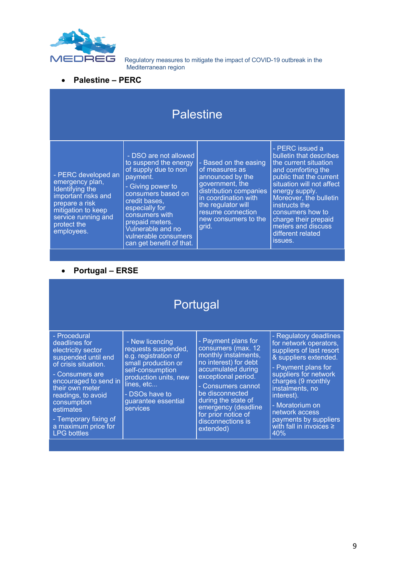

• **Palestine – PERC**

| <b>Palestine</b>                                                                                                                                                             |                                                                                                                                                                                                                                                                                |                                                                                                                                                                                                              |                                                                                                                                                                                                                                                                                                                  |  |  |
|------------------------------------------------------------------------------------------------------------------------------------------------------------------------------|--------------------------------------------------------------------------------------------------------------------------------------------------------------------------------------------------------------------------------------------------------------------------------|--------------------------------------------------------------------------------------------------------------------------------------------------------------------------------------------------------------|------------------------------------------------------------------------------------------------------------------------------------------------------------------------------------------------------------------------------------------------------------------------------------------------------------------|--|--|
| - PERC developed an<br>emergency plan,<br>Identifying the<br>important risks and<br>prepare a risk<br>mitigation to keep<br>service running and<br>protect the<br>employees. | - DSO are not allowed<br>to suspend the energy<br>of supply due to non<br>payment.<br>- Giving power to<br>consumers based on<br>credit bases,<br>especially for<br>consumers with<br>prepaid meters.<br>Vulnerable and no<br>vulnerable consumers<br>can get benefit of that. | - Based on the easing<br>of measures as<br>announced by the<br>government, the<br>distribution companies<br>in coordination with<br>the regulator will<br>resume connection<br>new consumers to the<br>grid. | - PERC issued a<br>bulletin that describes<br>the current situation<br>and comforting the<br>public that the current<br>situation will not affect<br>energy supply.<br>Moreover, the bulletin<br>instructs the<br>consumers how to<br>charge their prepaid<br>meters and discuss<br>different related<br>issues. |  |  |

## • **Portugal – ERSE**

| Portugal                                                                                                                                                                                                                                                                                  |                                                                                                                                                                                                       |                                                                                                                                                                                                                                                                                         |                                                                                                                                                                                                                                                                                                                   |  |  |
|-------------------------------------------------------------------------------------------------------------------------------------------------------------------------------------------------------------------------------------------------------------------------------------------|-------------------------------------------------------------------------------------------------------------------------------------------------------------------------------------------------------|-----------------------------------------------------------------------------------------------------------------------------------------------------------------------------------------------------------------------------------------------------------------------------------------|-------------------------------------------------------------------------------------------------------------------------------------------------------------------------------------------------------------------------------------------------------------------------------------------------------------------|--|--|
| - Procedural<br>deadlines for<br>electricity sector<br>suspended until end<br>of crisis situation.<br>- Consumers are<br>encouraged to send in<br>their own meter<br>readings, to avoid<br>consumption<br>estimates<br>- Temporary fixing of<br>a maximum price for<br><b>LPG</b> bottles | - New licencing<br>requests suspended,<br>e.g. registration of<br>small production or<br>self-consumption<br>production units, new<br>lines, etc<br>- DSOs have to<br>guarantee essential<br>services | - Payment plans for<br>consumers (max. 12<br>monthly instalments,<br>no interest) for debt<br>accumulated during<br>exceptional period.<br>- Consumers cannot<br>be disconnected<br>during the state of<br>emergency (deadline<br>for prior notice of<br>disconnections is<br>extended) | - Regulatory deadlines<br>for network operators,<br>suppliers of last resort<br>& suppliers extended.<br>- Payment plans for<br>suppliers for network<br>charges (9 monthly<br>instalments, no<br>interest).<br>- Moratorium on<br>network access<br>payments by suppliers<br>with fall in invoices $\geq$<br>40% |  |  |
|                                                                                                                                                                                                                                                                                           |                                                                                                                                                                                                       |                                                                                                                                                                                                                                                                                         |                                                                                                                                                                                                                                                                                                                   |  |  |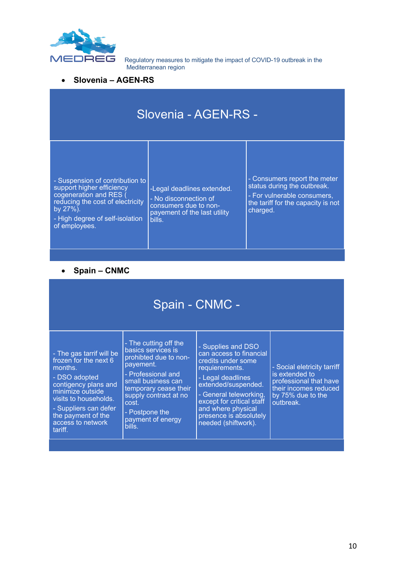

#### • **Slovenia – AGEN-RS**

| Slovenia - AGEN-RS -                                                                                                                                                                          |                                                                                                                        |                                                                                                                                              |  |  |
|-----------------------------------------------------------------------------------------------------------------------------------------------------------------------------------------------|------------------------------------------------------------------------------------------------------------------------|----------------------------------------------------------------------------------------------------------------------------------------------|--|--|
| - Suspension of contribution to<br>support higher efficiency<br>cogeneration and RES (<br>reducing the cost of electricity<br>by $27\%$ .<br>- High degree of self-isolation<br>of employees. | -Legal deadlines extended.<br>- No disconnection of<br>consumers due to non-<br>payement of the last utility<br>bills. | - Consumers report the meter<br>status during the outbreak.<br>- For vulnerable consumers,<br>the tariff for the capacity is not<br>charged. |  |  |

## • **Spain – CNMC**

| - The cutting off the<br>- Supplies and DSO<br>basics services is<br>can access to financial<br>- The gas tarrif will be<br>prohibted due to non-<br>frozen for the next 6<br>credits under some<br>payement.<br>- Social eletricity tarriff<br>months.<br>requierements.<br>is extended to<br>- Professional and<br>- DSO adopted<br>- Legal deadlines<br>professional that have<br>small business can<br>contigency plans and<br>extended/suspended.<br>their incomes reduced<br>temporary cease their<br>minimize outside<br>- General teleworking,<br>by 75% due to the<br>supply contract at no<br>visits to households.<br>except for critical staff<br>outbreak.<br>cost. | Spain - CNMC - |  |  |  |  |  |
|----------------------------------------------------------------------------------------------------------------------------------------------------------------------------------------------------------------------------------------------------------------------------------------------------------------------------------------------------------------------------------------------------------------------------------------------------------------------------------------------------------------------------------------------------------------------------------------------------------------------------------------------------------------------------------|----------------|--|--|--|--|--|
| and where physical<br>- Suppliers can defer<br>- Postpone the<br>the payment of the<br>presence is absolutely<br>payment of energy<br>access to network<br>needed (shiftwork).<br>bills.<br>tariff.                                                                                                                                                                                                                                                                                                                                                                                                                                                                              |                |  |  |  |  |  |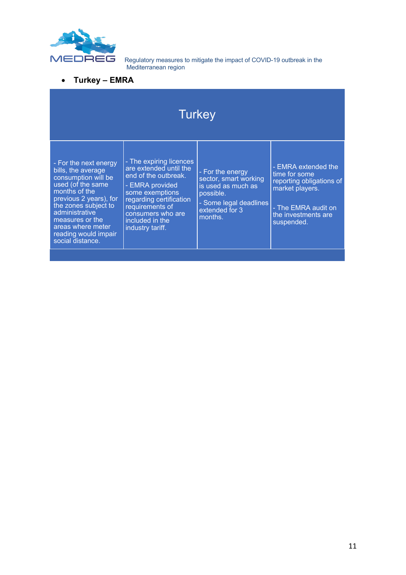

• **Turkey – EMRA**

| Turkey                                                                                                                                                                                                                                                           |                                                                                                                                                                                                                           |                                                                                                                                     |                                                                                                                                                 |  |
|------------------------------------------------------------------------------------------------------------------------------------------------------------------------------------------------------------------------------------------------------------------|---------------------------------------------------------------------------------------------------------------------------------------------------------------------------------------------------------------------------|-------------------------------------------------------------------------------------------------------------------------------------|-------------------------------------------------------------------------------------------------------------------------------------------------|--|
| - For the next energy<br>bills, the average<br>consumption will be<br>used (of the same<br>months of the<br>previous 2 years), for<br>the zones subject to<br>administrative<br>measures or the<br>areas where meter<br>reading would impair<br>social distance. | - The expiring licences<br>are extended until the<br>end of the outbreak.<br>- EMRA provided<br>some exemptions<br>regarding certification<br>requirements of<br>consumers who are<br>included in the<br>industry tariff. | - For the energy<br>sector, smart working<br>is used as much as<br>possible.<br>- Some legal deadlines<br>extended for 3<br>months. | - EMRA extended the<br>time for some<br>reporting obligations of<br>market players.<br>- The EMRA audit on<br>the investments are<br>suspended. |  |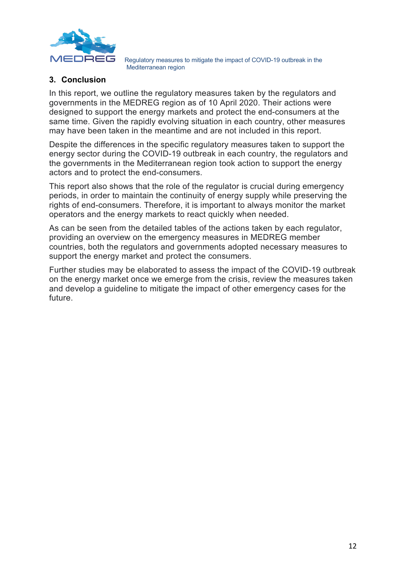

#### **3. Conclusion**

In this report, we outline the regulatory measures taken by the regulators and governments in the MEDREG region as of 10 April 2020. Their actions were designed to support the energy markets and protect the end-consumers at the same time. Given the rapidly evolving situation in each country, other measures may have been taken in the meantime and are not included in this report.

Despite the differences in the specific regulatory measures taken to support the energy sector during the COVID-19 outbreak in each country, the regulators and the governments in the Mediterranean region took action to support the energy actors and to protect the end-consumers.

This report also shows that the role of the regulator is crucial during emergency periods, in order to maintain the continuity of energy supply while preserving the rights of end-consumers. Therefore, it is important to always monitor the market operators and the energy markets to react quickly when needed.

As can be seen from the detailed tables of the actions taken by each regulator, providing an overview on the emergency measures in MEDREG member countries, both the regulators and governments adopted necessary measures to support the energy market and protect the consumers.

Further studies may be elaborated to assess the impact of the COVID-19 outbreak on the energy market once we emerge from the crisis, review the measures taken and develop a guideline to mitigate the impact of other emergency cases for the future.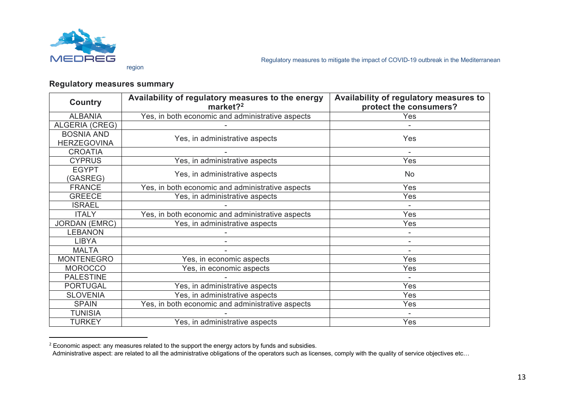

#### **Regulatory measures summary**

| <b>Country</b>                          | Availability of regulatory measures to the energy<br>market? $2$ | Availability of regulatory measures to<br>protect the consumers? |
|-----------------------------------------|------------------------------------------------------------------|------------------------------------------------------------------|
| <b>ALBANIA</b>                          | Yes, in both economic and administrative aspects                 | Yes                                                              |
| <b>ALGERIA (CREG)</b>                   |                                                                  |                                                                  |
| <b>BOSNIA AND</b><br><b>HERZEGOVINA</b> | Yes, in administrative aspects                                   | Yes                                                              |
| <b>CROATIA</b>                          |                                                                  |                                                                  |
| <b>CYPRUS</b>                           | Yes, in administrative aspects                                   | Yes                                                              |
| <b>EGYPT</b><br>(GASREG)                | Yes, in administrative aspects                                   | No                                                               |
| <b>FRANCE</b>                           | Yes, in both economic and administrative aspects                 | Yes                                                              |
| <b>GREECE</b>                           | Yes, in administrative aspects                                   | Yes                                                              |
| <b>ISRAEL</b>                           |                                                                  |                                                                  |
| <b>ITALY</b>                            | Yes, in both economic and administrative aspects                 | Yes                                                              |
| <b>JORDAN (EMRC)</b>                    | Yes, in administrative aspects                                   | Yes                                                              |
| <b>LEBANON</b>                          |                                                                  |                                                                  |
| <b>LIBYA</b>                            |                                                                  |                                                                  |
| <b>MALTA</b>                            |                                                                  |                                                                  |
| <b>MONTENEGRO</b>                       | Yes, in economic aspects                                         | Yes                                                              |
| <b>MOROCCO</b>                          | Yes, in economic aspects                                         | Yes                                                              |
| <b>PALESTINE</b>                        |                                                                  |                                                                  |
| <b>PORTUGAL</b>                         | Yes, in administrative aspects                                   | Yes                                                              |
| <b>SLOVENIA</b>                         | Yes, in administrative aspects                                   | Yes                                                              |
| <b>SPAIN</b>                            | Yes, in both economic and administrative aspects                 | Yes                                                              |
| <b>TUNISIA</b>                          |                                                                  |                                                                  |
| <b>TURKEY</b>                           | Yes, in administrative aspects                                   | Yes                                                              |

 $2$  Economic aspect: any measures related to the support the energy actors by funds and subsidies.

Administrative aspect: are related to all the administrative obligations of the operators such as licenses, comply with the quality of service objectives etc…